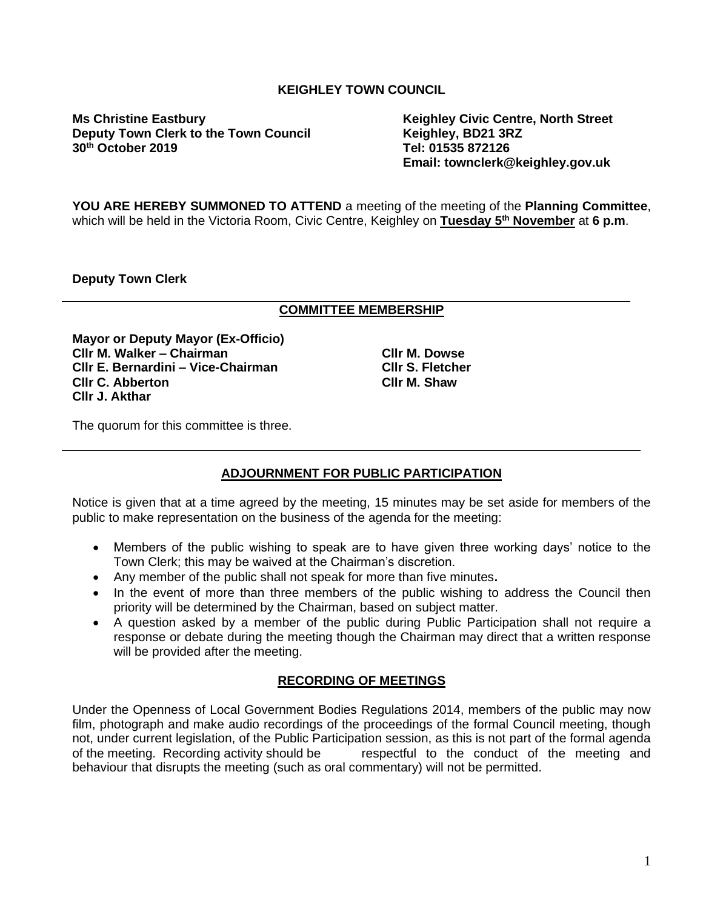# **KEIGHLEY TOWN COUNCIL**

**Ms Christine Eastbury Keighley Civic Centre, North Street Deputy Town Clerk to the Town Council Keighley, BD21 3RZ 30<sup>th</sup> October 2019** 

**Email: townclerk@keighley.gov.uk**

**YOU ARE HEREBY SUMMONED TO ATTEND** a meeting of the meeting of the **Planning Committee**, which will be held in the Victoria Room, Civic Centre, Keighley on **Tuesday 5 th November** at **6 p.m**.

**Deputy Town Clerk**

#### **COMMITTEE MEMBERSHIP**

**Mayor or Deputy Mayor (Ex-Officio) Cllr M. Walker – Chairman Cllr E. Bernardini – Vice-Chairman Cllr C. Abberton Cllr J. Akthar**

**Cllr M. Dowse Cllr S. Fletcher Cllr M. Shaw**

The quorum for this committee is three.

# **ADJOURNMENT FOR PUBLIC PARTICIPATION**

Notice is given that at a time agreed by the meeting, 15 minutes may be set aside for members of the public to make representation on the business of the agenda for the meeting:

- Members of the public wishing to speak are to have given three working days' notice to the Town Clerk; this may be waived at the Chairman's discretion.
- Any member of the public shall not speak for more than five minutes**.**
- In the event of more than three members of the public wishing to address the Council then priority will be determined by the Chairman, based on subject matter.
- A question asked by a member of the public during Public Participation shall not require a response or debate during the meeting though the Chairman may direct that a written response will be provided after the meeting.

# **RECORDING OF MEETINGS**

Under the Openness of Local Government Bodies Regulations 2014, members of the public may now film, photograph and make audio recordings of the proceedings of the formal Council meeting, though not, under current legislation, of the Public Participation session, as this is not part of the formal agenda of the meeting. Recording activity should be respectful to the conduct of the meeting and behaviour that disrupts the meeting (such as oral commentary) will not be permitted.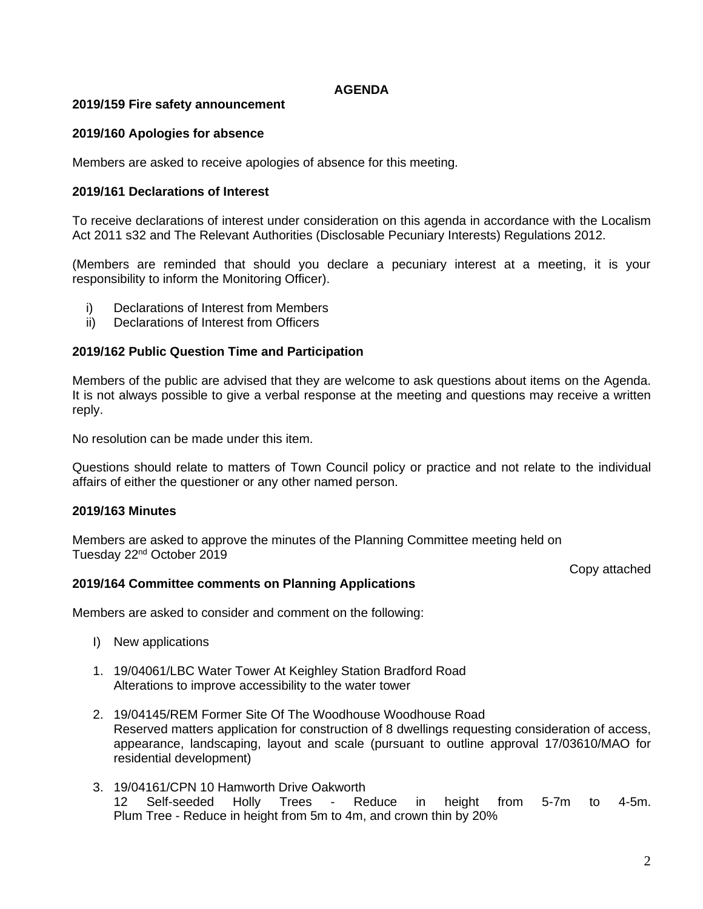### **AGENDA**

### **2019/159 Fire safety announcement**

### **2019/160 Apologies for absence**

Members are asked to receive apologies of absence for this meeting.

#### **2019/161 Declarations of Interest**

To receive declarations of interest under consideration on this agenda in accordance with the Localism Act 2011 s32 and The Relevant Authorities (Disclosable Pecuniary Interests) Regulations 2012.

(Members are reminded that should you declare a pecuniary interest at a meeting, it is your responsibility to inform the Monitoring Officer).

- i) Declarations of Interest from Members
- ii) Declarations of Interest from Officers

#### **2019/162 Public Question Time and Participation**

Members of the public are advised that they are welcome to ask questions about items on the Agenda. It is not always possible to give a verbal response at the meeting and questions may receive a written reply.

No resolution can be made under this item.

Questions should relate to matters of Town Council policy or practice and not relate to the individual affairs of either the questioner or any other named person.

### **2019/163 Minutes**

Members are asked to approve the minutes of the Planning Committee meeting held on Tuesday 22nd October 2019

Copy attached

#### **2019/164 Committee comments on Planning Applications**

Members are asked to consider and comment on the following:

- I) New applications
- 1. 19/04061/LBC Water Tower At Keighley Station Bradford Road Alterations to improve accessibility to the water tower
- 2. 19/04145/REM Former Site Of The Woodhouse Woodhouse Road Reserved matters application for construction of 8 dwellings requesting consideration of access, appearance, landscaping, layout and scale (pursuant to outline approval 17/03610/MAO for residential development)
- 3. 19/04161/CPN 10 Hamworth Drive Oakworth 12 Self-seeded Holly Trees - Reduce in height from 5-7m to 4-5m. Plum Tree - Reduce in height from 5m to 4m, and crown thin by 20%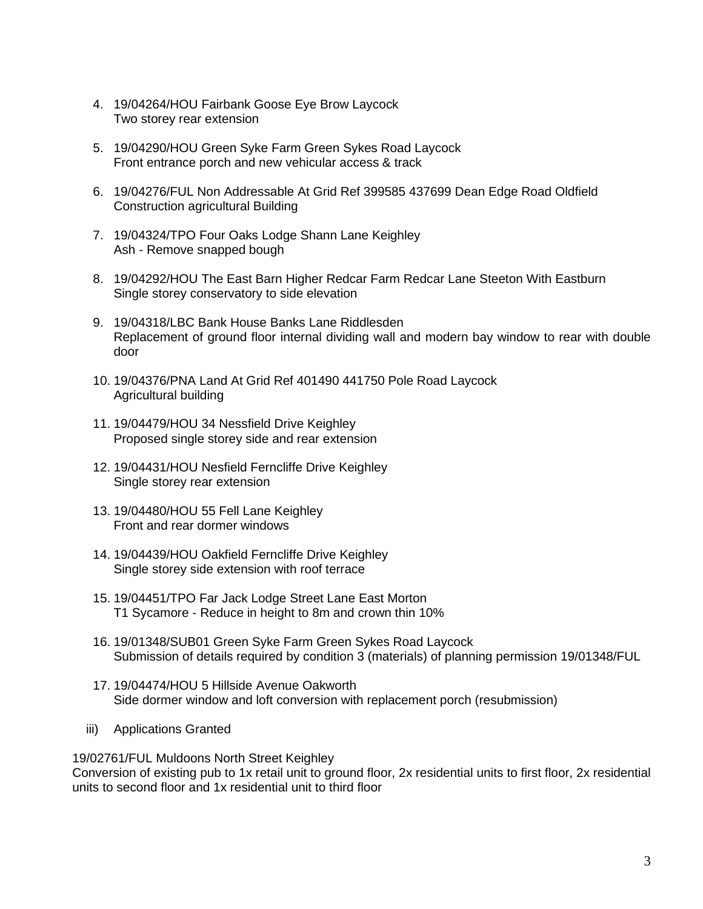- 4. 19/04264/HOU Fairbank Goose Eye Brow Laycock Two storey rear extension
- 5. 19/04290/HOU Green Syke Farm Green Sykes Road Laycock Front entrance porch and new vehicular access & track
- 6. 19/04276/FUL Non Addressable At Grid Ref 399585 437699 Dean Edge Road Oldfield Construction agricultural Building
- 7. 19/04324/TPO Four Oaks Lodge Shann Lane Keighley Ash - Remove snapped bough
- 8. 19/04292/HOU The East Barn Higher Redcar Farm Redcar Lane Steeton With Eastburn Single storey conservatory to side elevation
- 9. 19/04318/LBC Bank House Banks Lane Riddlesden Replacement of ground floor internal dividing wall and modern bay window to rear with double door
- 10. 19/04376/PNA Land At Grid Ref 401490 441750 Pole Road Laycock Agricultural building
- 11. 19/04479/HOU 34 Nessfield Drive Keighley Proposed single storey side and rear extension
- 12. 19/04431/HOU Nesfield Ferncliffe Drive Keighley Single storey rear extension
- 13. 19/04480/HOU 55 Fell Lane Keighley Front and rear dormer windows
- 14. 19/04439/HOU Oakfield Ferncliffe Drive Keighley Single storey side extension with roof terrace
- 15. 19/04451/TPO Far Jack Lodge Street Lane East Morton T1 Sycamore - Reduce in height to 8m and crown thin 10%
- 16. 19/01348/SUB01 Green Syke Farm Green Sykes Road Laycock Submission of details required by condition 3 (materials) of planning permission 19/01348/FUL
- 17. 19/04474/HOU 5 Hillside Avenue Oakworth Side dormer window and loft conversion with replacement porch (resubmission)
- iii) Applications Granted

19/02761/FUL Muldoons North Street Keighley

Conversion of existing pub to 1x retail unit to ground floor, 2x residential units to first floor, 2x residential units to second floor and 1x residential unit to third floor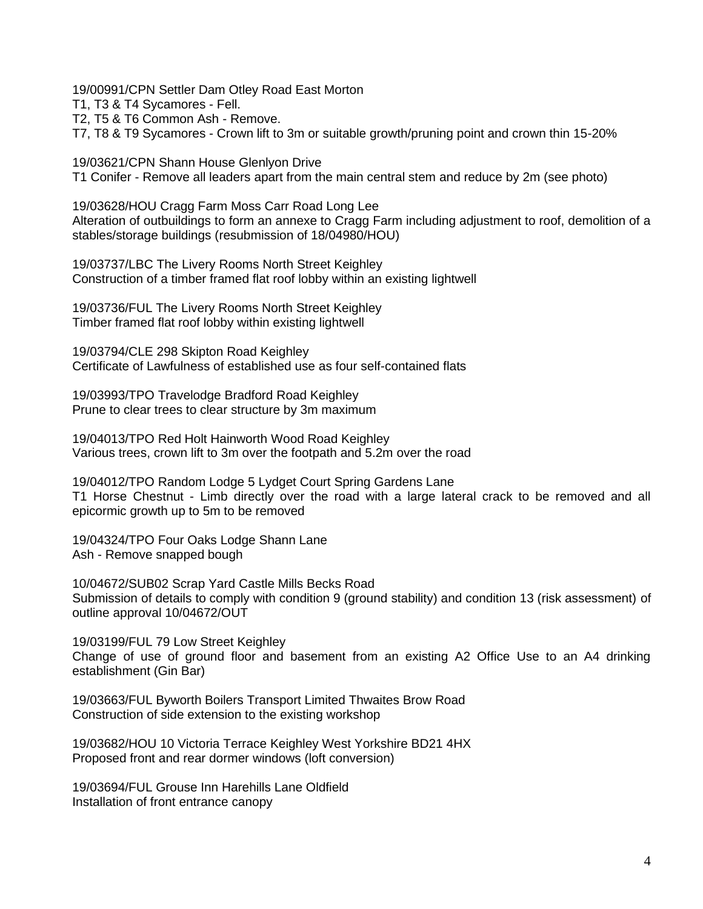19/00991/CPN Settler Dam Otley Road East Morton

T1, T3 & T4 Sycamores - Fell.

T2, T5 & T6 Common Ash - Remove.

T7, T8 & T9 Sycamores - Crown lift to 3m or suitable growth/pruning point and crown thin 15-20%

19/03621/CPN Shann House Glenlyon Drive

T1 Conifer - Remove all leaders apart from the main central stem and reduce by 2m (see photo)

19/03628/HOU Cragg Farm Moss Carr Road Long Lee Alteration of outbuildings to form an annexe to Cragg Farm including adjustment to roof, demolition of a stables/storage buildings (resubmission of 18/04980/HOU)

19/03737/LBC The Livery Rooms North Street Keighley Construction of a timber framed flat roof lobby within an existing lightwell

19/03736/FUL The Livery Rooms North Street Keighley Timber framed flat roof lobby within existing lightwell

19/03794/CLE 298 Skipton Road Keighley Certificate of Lawfulness of established use as four self-contained flats

19/03993/TPO Travelodge Bradford Road Keighley Prune to clear trees to clear structure by 3m maximum

19/04013/TPO Red Holt Hainworth Wood Road Keighley Various trees, crown lift to 3m over the footpath and 5.2m over the road

19/04012/TPO Random Lodge 5 Lydget Court Spring Gardens Lane T1 Horse Chestnut - Limb directly over the road with a large lateral crack to be removed and all epicormic growth up to 5m to be removed

19/04324/TPO Four Oaks Lodge Shann Lane Ash - Remove snapped bough

10/04672/SUB02 Scrap Yard Castle Mills Becks Road Submission of details to comply with condition 9 (ground stability) and condition 13 (risk assessment) of outline approval 10/04672/OUT

19/03199/FUL 79 Low Street Keighley Change of use of ground floor and basement from an existing A2 Office Use to an A4 drinking establishment (Gin Bar)

19/03663/FUL Byworth Boilers Transport Limited Thwaites Brow Road Construction of side extension to the existing workshop

19/03682/HOU 10 Victoria Terrace Keighley West Yorkshire BD21 4HX Proposed front and rear dormer windows (loft conversion)

19/03694/FUL Grouse Inn Harehills Lane Oldfield Installation of front entrance canopy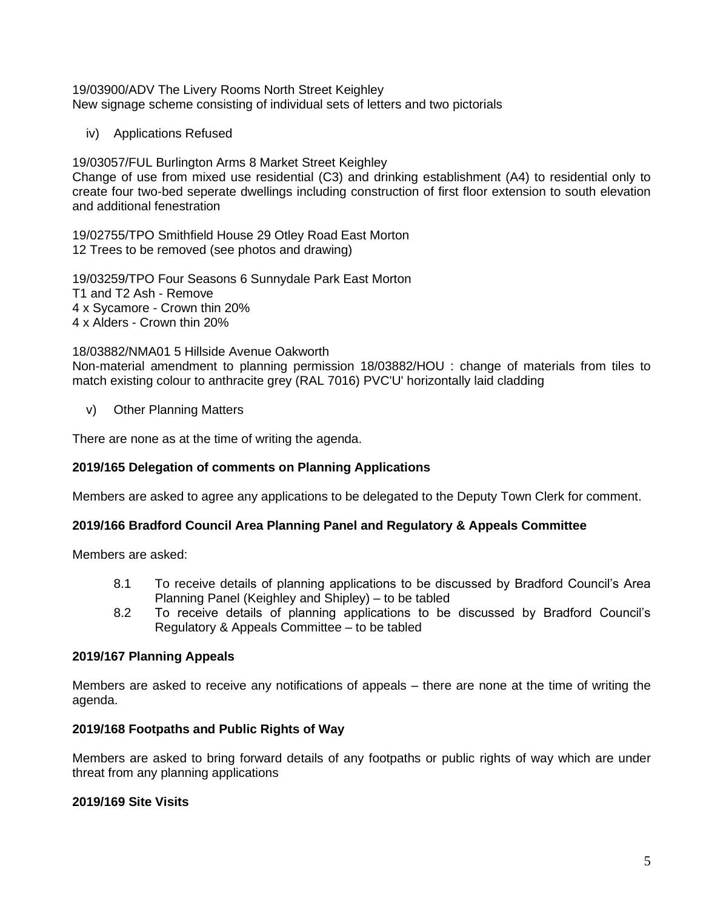#### 19/03900/ADV The Livery Rooms North Street Keighley New signage scheme consisting of individual sets of letters and two pictorials

iv) Applications Refused

19/03057/FUL Burlington Arms 8 Market Street Keighley Change of use from mixed use residential (C3) and drinking establishment (A4) to residential only to create four two-bed seperate dwellings including construction of first floor extension to south elevation and additional fenestration

19/02755/TPO Smithfield House 29 Otley Road East Morton 12 Trees to be removed (see photos and drawing)

19/03259/TPO Four Seasons 6 Sunnydale Park East Morton T1 and T2 Ash - Remove 4 x Sycamore - Crown thin 20% 4 x Alders - Crown thin 20%

18/03882/NMA01 5 Hillside Avenue Oakworth Non-material amendment to planning permission 18/03882/HOU : change of materials from tiles to match existing colour to anthracite grey (RAL 7016) PVC'U' horizontally laid cladding

v) Other Planning Matters

There are none as at the time of writing the agenda.

# **2019/165 Delegation of comments on Planning Applications**

Members are asked to agree any applications to be delegated to the Deputy Town Clerk for comment.

# **2019/166 Bradford Council Area Planning Panel and Regulatory & Appeals Committee**

Members are asked:

- 8.1 To receive details of planning applications to be discussed by Bradford Council's Area Planning Panel (Keighley and Shipley) – to be tabled
- 8.2 To receive details of planning applications to be discussed by Bradford Council's Regulatory & Appeals Committee – to be tabled

# **2019/167 Planning Appeals**

Members are asked to receive any notifications of appeals – there are none at the time of writing the agenda.

# **2019/168 Footpaths and Public Rights of Way**

Members are asked to bring forward details of any footpaths or public rights of way which are under threat from any planning applications

# **2019/169 Site Visits**